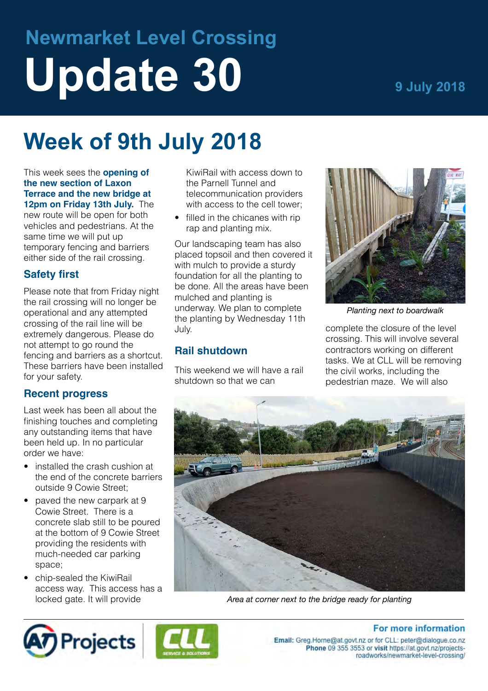# **Newmarket Level Crossing** Update 30 *9 July 2018*

## **Week of 9th July 2018**

This week sees the **opening of the new section of Laxon Terrace and the new bridge at 12pm on Friday 13th July.** The new route will be open for both

vehicles and pedestrians. At the same time we will put up temporary fencing and barriers either side of the rail crossing.

#### **Safety first**

Please note that from Friday night the rail crossing will no longer be operational and any attempted crossing of the rail line will be extremely dangerous. Please do not attempt to go round the fencing and barriers as a shortcut. These barriers have been installed for your safety.

#### **Recent progress**

Last week has been all about the finishing touches and completing any outstanding items that have been held up. In no particular order we have:

- installed the crash cushion at the end of the concrete barriers outside 9 Cowie Street;
- paved the new carpark at 9 Cowie Street. There is a concrete slab still to be poured at the bottom of 9 Cowie Street providing the residents with much-needed car parking space;
- chip-sealed the KiwiRail access way. This access has a locked gate. It will provide

KiwiRail with access down to the Parnell Tunnel and telecommunication providers with access to the cell tower:

• filled in the chicanes with rip rap and planting mix.

Our landscaping team has also placed topsoil and then covered it with mulch to provide a sturdy foundation for all the planting to be done. All the areas have been mulched and planting is underway. We plan to complete the planting by Wednesday 11th July.

#### **Rail shutdown**

This weekend we will have a rail shutdown so that we can



*Planting next to boardwalk*

complete the closure of the level crossing. This will involve several contractors working on different tasks. We at CLL will be removing the civil works, including the pedestrian maze. We will also



*Area at corner next to the bridge ready for planting*